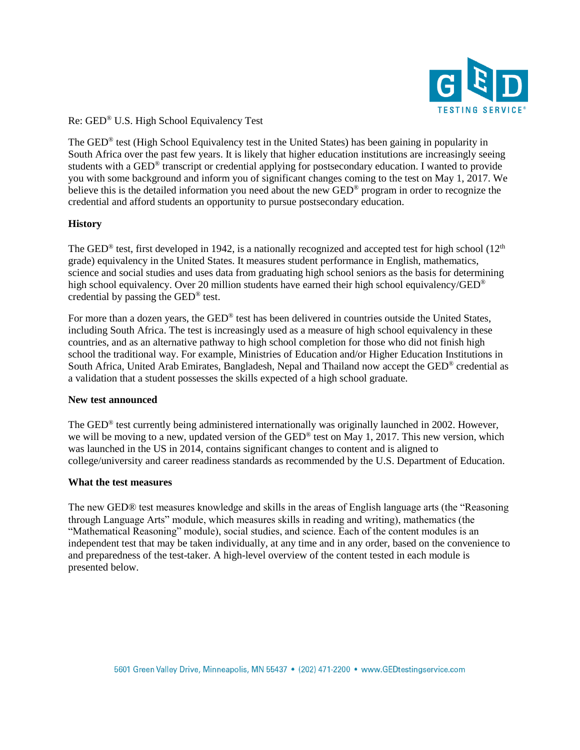

Re: GED® U.S. High School Equivalency Test

The GED® test (High School Equivalency test in the United States) has been gaining in popularity in South Africa over the past few years. It is likely that higher education institutions are increasingly seeing students with a GED® transcript or credential applying for postsecondary education. I wanted to provide you with some background and inform you of significant changes coming to the test on May 1, 2017. We believe this is the detailed information you need about the new GED® program in order to recognize the credential and afford students an opportunity to pursue postsecondary education.

### **History**

The GED<sup>®</sup> test, first developed in 1942, is a nationally recognized and accepted test for high school (12<sup>th</sup> grade) equivalency in the United States. It measures student performance in English, mathematics, science and social studies and uses data from graduating high school seniors as the basis for determining high school equivalency. Over 20 million students have earned their high school equivalency/GED<sup>®</sup> credential by passing the GED® test.

For more than a dozen years, the GED<sup>®</sup> test has been delivered in countries outside the United States, including South Africa. The test is increasingly used as a measure of high school equivalency in these countries, and as an alternative pathway to high school completion for those who did not finish high school the traditional way. For example, Ministries of Education and/or Higher Education Institutions in South Africa, United Arab Emirates, Bangladesh, Nepal and Thailand now accept the GED® credential as a validation that a student possesses the skills expected of a high school graduate.

### **New test announced**

The GED® test currently being administered internationally was originally launched in 2002. However, we will be moving to a new, updated version of the GED® test on May 1, 2017. This new version, which was launched in the US in 2014, contains significant changes to content and is aligned to college/university and career readiness standards as recommended by the U.S. Department of Education.

### **What the test measures**

The new GED® test measures knowledge and skills in the areas of English language arts (the "Reasoning through Language Arts" module, which measures skills in reading and writing), mathematics (the "Mathematical Reasoning" module), social studies, and science. Each of the content modules is an independent test that may be taken individually, at any time and in any order, based on the convenience to and preparedness of the test-taker. A high-level overview of the content tested in each module is presented below.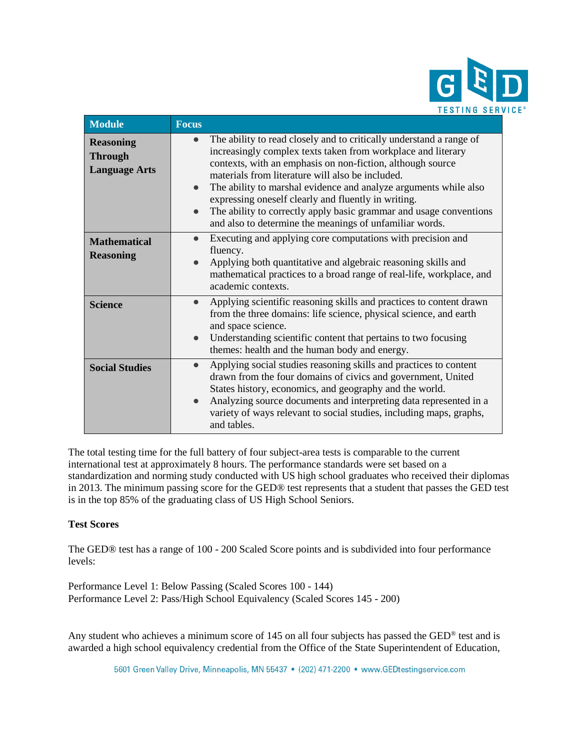

| <b>Module</b>                                              | <b>Focus</b>                                                                                                                                                                                                                                                                                                                                                                                                                                                                                                                                |
|------------------------------------------------------------|---------------------------------------------------------------------------------------------------------------------------------------------------------------------------------------------------------------------------------------------------------------------------------------------------------------------------------------------------------------------------------------------------------------------------------------------------------------------------------------------------------------------------------------------|
| <b>Reasoning</b><br><b>Through</b><br><b>Language Arts</b> | The ability to read closely and to critically understand a range of<br>$\bullet$<br>increasingly complex texts taken from workplace and literary<br>contexts, with an emphasis on non-fiction, although source<br>materials from literature will also be included.<br>The ability to marshal evidence and analyze arguments while also<br>$\bullet$<br>expressing oneself clearly and fluently in writing.<br>The ability to correctly apply basic grammar and usage conventions<br>and also to determine the meanings of unfamiliar words. |
| <b>Mathematical</b><br><b>Reasoning</b>                    | Executing and applying core computations with precision and<br>$\bullet$<br>fluency.<br>Applying both quantitative and algebraic reasoning skills and<br>mathematical practices to a broad range of real-life, workplace, and<br>academic contexts.                                                                                                                                                                                                                                                                                         |
| <b>Science</b>                                             | Applying scientific reasoning skills and practices to content drawn<br>$\bullet$<br>from the three domains: life science, physical science, and earth<br>and space science.<br>Understanding scientific content that pertains to two focusing<br>$\bullet$<br>themes: health and the human body and energy.                                                                                                                                                                                                                                 |
| <b>Social Studies</b>                                      | Applying social studies reasoning skills and practices to content<br>$\bullet$<br>drawn from the four domains of civics and government, United<br>States history, economics, and geography and the world.<br>Analyzing source documents and interpreting data represented in a<br>$\bullet$<br>variety of ways relevant to social studies, including maps, graphs,<br>and tables.                                                                                                                                                           |

The total testing time for the full battery of four subject-area tests is comparable to the current international test at approximately 8 hours. The performance standards were set based on a standardization and norming study conducted with US high school graduates who received their diplomas in 2013. The minimum passing score for the GED® test represents that a student that passes the GED test is in the top 85% of the graduating class of US High School Seniors.

# **Test Scores**

The GED® test has a range of 100 - 200 Scaled Score points and is subdivided into four performance levels:

Performance Level 1: Below Passing (Scaled Scores 100 - 144) Performance Level 2: Pass/High School Equivalency (Scaled Scores 145 - 200)

Any student who achieves a minimum score of 145 on all four subjects has passed the GED<sup>®</sup> test and is awarded a high school equivalency credential from the Office of the State Superintendent of Education,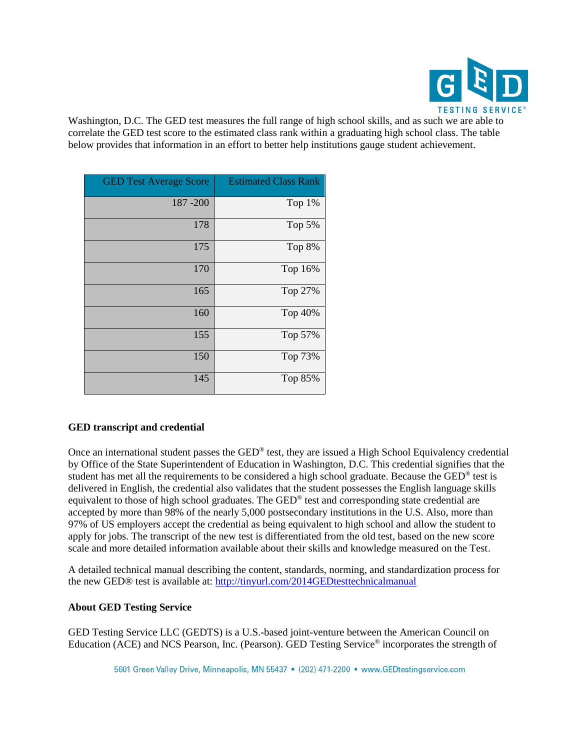

Washington, D.C. The GED test measures the full range of high school skills, and as such we are able to correlate the GED test score to the estimated class rank within a graduating high school class. The table below provides that information in an effort to better help institutions gauge student achievement.

| <b>GED Test Average Score</b> | <b>Estimated Class Rank</b> |
|-------------------------------|-----------------------------|
| 187-200                       | Top 1%                      |
| 178                           | Top 5%                      |
| 175                           | Top 8%                      |
| 170                           | Top 16%                     |
| 165                           | Top 27%                     |
| 160                           | Top 40%                     |
| 155                           | Top 57%                     |
| 150                           | Top 73%                     |
| 145                           | Top 85%                     |

# **GED transcript and credential**

Once an international student passes the GED® test, they are issued a High School Equivalency credential by Office of the State Superintendent of Education in Washington, D.C. This credential signifies that the student has met all the requirements to be considered a high school graduate. Because the GED<sup>®</sup> test is delivered in English, the credential also validates that the student possesses the English language skills equivalent to those of high school graduates. The GED® test and corresponding state credential are accepted by more than 98% of the nearly 5,000 postsecondary institutions in the U.S. Also, more than 97% of US employers accept the credential as being equivalent to high school and allow the student to apply for jobs. The transcript of the new test is differentiated from the old test, based on the new score scale and more detailed information available about their skills and knowledge measured on the Test.

A detailed technical manual describing the content, standards, norming, and standardization process for the new GED® test is available at: <http://tinyurl.com/2014GEDtesttechnicalmanual>

# **About GED Testing Service**

GED Testing Service LLC (GEDTS) is a U.S.-based joint-venture between the American Council on Education (ACE) and NCS Pearson, Inc. (Pearson). GED Testing Service® incorporates the strength of